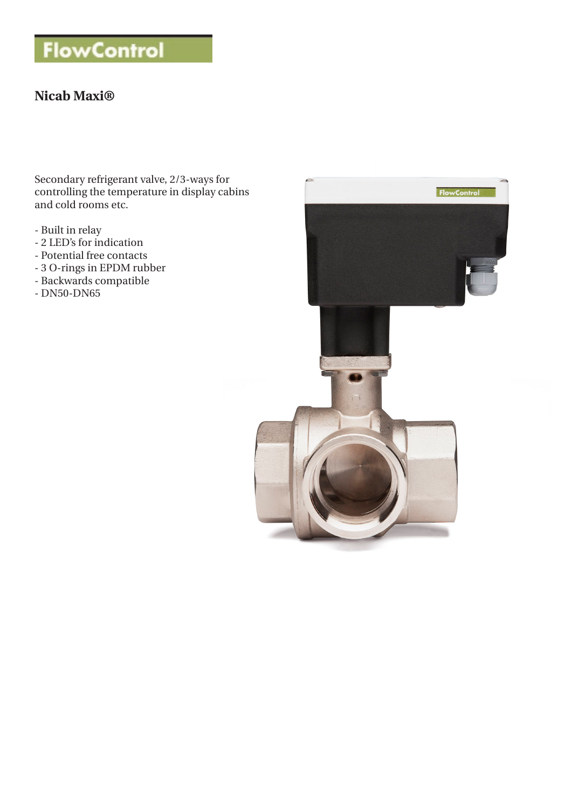# **FlowControl**

## **Nicab Maxi®**

Secondary refrigerant valve, 2/3-ways for controlling the temperature in display cabins and cold rooms etc.

- Built in relay
- 2 LED's for indication
- Potential free contacts
- 3 O-rings in EPDM rubber
- Backwards compatible
- DN50-DN65

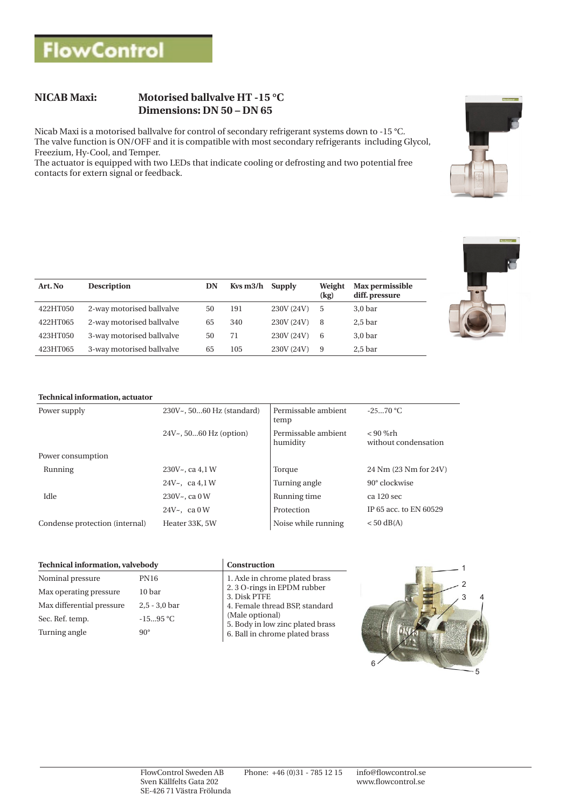## **NICAB Maxi: Motorised ballvalve HT -15 °C Dimensions: DN 50 – DN 65**

Nicab Maxi is a motorised ballvalve for control of secondary refrigerant systems down to -15 °C. The valve function is ON/OFF and it is compatible with most secondary refrigerants including Glycol, Freezium, Hy-Cool, and Temper.

The actuator is equipped with two LEDs that indicate cooling or defrosting and two potential free contacts for extern signal or feedback.

| Art. No  | <b>Description</b>        | DN | Kys m3/h Supply |            | Weight<br>(kg) | Max permissible<br>diff. pressure |
|----------|---------------------------|----|-----------------|------------|----------------|-----------------------------------|
| 422HT050 | 2-way motorised ballvalve | 50 | 191             | 230V (24V) | 5              | $3,0$ bar                         |
| 422HT065 | 2-way motorised ballvalve | 65 | 340             | 230V (24V) | 8              | $2,5$ bar                         |
| 423HT050 | 3-way motorised ballvalve | 50 | 71              | 230V (24V) | 6              | $3,0$ bar                         |
| 423HT065 | 3-way motorised ballvalve | 65 | 105             | 230V (24V) | 9              | 2.5 <sub>bar</sub>                |



#### **Technical information, actuator**

| Power supply                   | 230V~, 5060 Hz (standard) | Permissable ambient<br>temp     | $-2570 °C$                         |  |
|--------------------------------|---------------------------|---------------------------------|------------------------------------|--|
|                                | $24V7$ , 5060 Hz (option) | Permissable ambient<br>humidity | $< 90$ %rh<br>without condensation |  |
| Power consumption              |                           |                                 |                                    |  |
| Running                        | $230Vz$ , ca $4.1W$       | Torque                          | 24 Nm (23 Nm for 24V)              |  |
|                                | 24V $\sim$ , ca 4.1 W     | Turning angle                   | $90^\circ$ clockwise               |  |
| Idle                           | $230V - c$ ca 0 W         | Running time                    | ca 120 sec                         |  |
|                                | 24V $\sim$ , ca 0 W       | Protection                      | IP 65 acc. to EN 60529             |  |
| Condense protection (internal) | Heater 33K, 5W            | Noise while running             | $< 50$ dB(A)                       |  |

| Technical information, valvebody |                 | Construction                                        |  |
|----------------------------------|-----------------|-----------------------------------------------------|--|
| Nominal pressure                 | PN16            | 1. Axle in chrome plated brass                      |  |
| Max operating pressure           | 10 bar          | 2.3 O-rings in EPDM rubber<br>3. Disk PTFE          |  |
| Max differential pressure        | $2.5 - 3.0$ bar | 4. Female thread BSP, standard                      |  |
| Sec. Ref. temp.                  | $-1595 °C$      | (Male optional)<br>5. Body in low zinc plated brass |  |
| Turning angle                    | $90^\circ$      | 6. Ball in chrome plated brass                      |  |